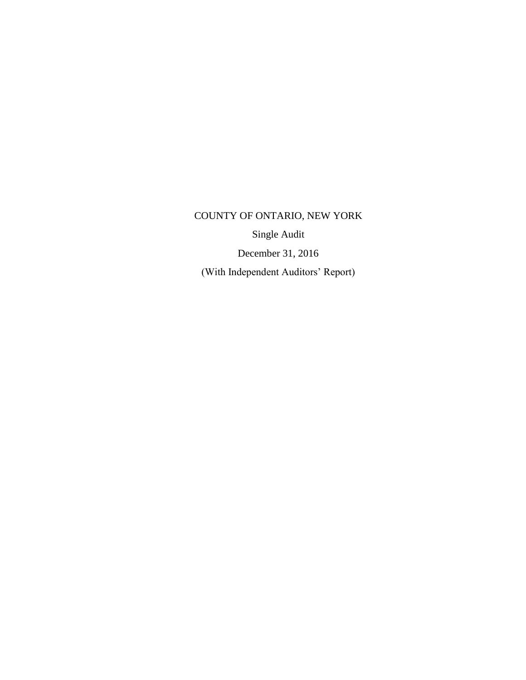Single Audit

December 31, 2016

(With Independent Auditors' Report)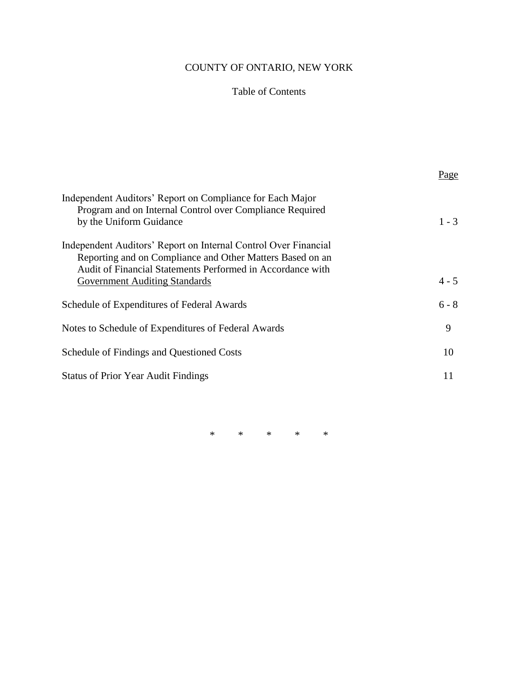### Table of Contents

|                                                                                                                              | Page    |
|------------------------------------------------------------------------------------------------------------------------------|---------|
| Independent Auditors' Report on Compliance for Each Major<br>Program and on Internal Control over Compliance Required        |         |
| by the Uniform Guidance                                                                                                      | $1 - 3$ |
| Independent Auditors' Report on Internal Control Over Financial<br>Reporting and on Compliance and Other Matters Based on an |         |
| Audit of Financial Statements Performed in Accordance with<br><b>Government Auditing Standards</b>                           | $4 - 5$ |
| Schedule of Expenditures of Federal Awards                                                                                   | $6 - 8$ |
| Notes to Schedule of Expenditures of Federal Awards                                                                          | 9       |
| Schedule of Findings and Questioned Costs                                                                                    | 10      |
| <b>Status of Prior Year Audit Findings</b>                                                                                   | 11      |

\* \* \* \* \*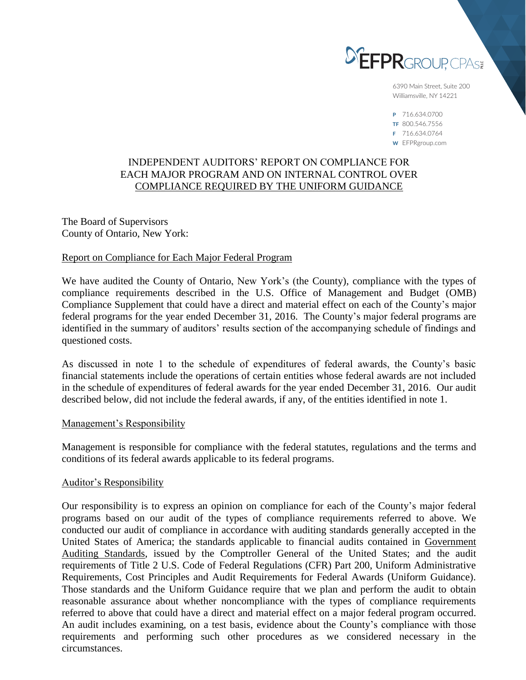

6390 Main Street, Suite 200 Williamsville, NY 14221

P 716.634.0700 TF 800.546.7556 F 716.634.0764 W EFPRgroup.com

### INDEPENDENT AUDITORS' REPORT ON COMPLIANCE FOR EACH MAJOR PROGRAM AND ON INTERNAL CONTROL OVER COMPLIANCE REQUIRED BY THE UNIFORM GUIDANCE

The Board of Supervisors County of Ontario, New York:

#### Report on Compliance for Each Major Federal Program

We have audited the County of Ontario, New York's (the County), compliance with the types of compliance requirements described in the U.S. Office of Management and Budget (OMB) Compliance Supplement that could have a direct and material effect on each of the County's major federal programs for the year ended December 31, 2016. The County's major federal programs are identified in the summary of auditors' results section of the accompanying schedule of findings and questioned costs.

As discussed in note 1 to the schedule of expenditures of federal awards, the County's basic financial statements include the operations of certain entities whose federal awards are not included in the schedule of expenditures of federal awards for the year ended December 31, 2016. Our audit described below, did not include the federal awards, if any, of the entities identified in note 1.

#### Management's Responsibility

Management is responsible for compliance with the federal statutes, regulations and the terms and conditions of its federal awards applicable to its federal programs.

#### Auditor's Responsibility

Our responsibility is to express an opinion on compliance for each of the County's major federal programs based on our audit of the types of compliance requirements referred to above. We conducted our audit of compliance in accordance with auditing standards generally accepted in the United States of America; the standards applicable to financial audits contained in Government Auditing Standards, issued by the Comptroller General of the United States; and the audit requirements of Title 2 U.S. Code of Federal Regulations (CFR) Part 200, Uniform Administrative Requirements, Cost Principles and Audit Requirements for Federal Awards (Uniform Guidance). Those standards and the Uniform Guidance require that we plan and perform the audit to obtain reasonable assurance about whether noncompliance with the types of compliance requirements referred to above that could have a direct and material effect on a major federal program occurred. An audit includes examining, on a test basis, evidence about the County's compliance with those requirements and performing such other procedures as we considered necessary in the circumstances.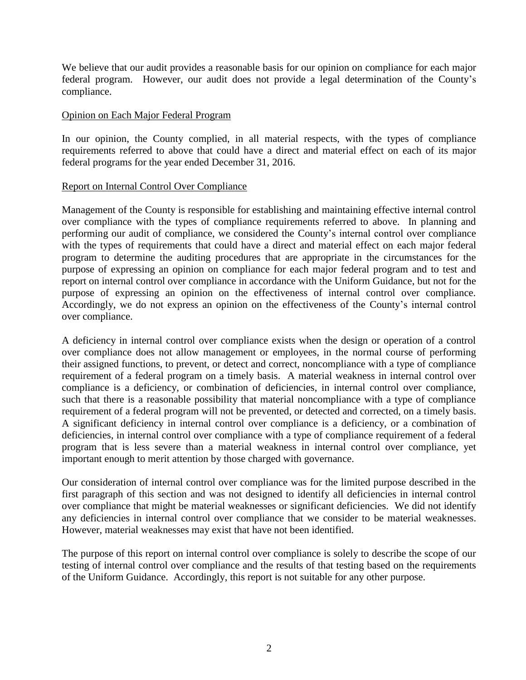We believe that our audit provides a reasonable basis for our opinion on compliance for each major federal program. However, our audit does not provide a legal determination of the County's compliance.

#### Opinion on Each Major Federal Program

In our opinion, the County complied, in all material respects, with the types of compliance requirements referred to above that could have a direct and material effect on each of its major federal programs for the year ended December 31, 2016.

#### Report on Internal Control Over Compliance

Management of the County is responsible for establishing and maintaining effective internal control over compliance with the types of compliance requirements referred to above. In planning and performing our audit of compliance, we considered the County's internal control over compliance with the types of requirements that could have a direct and material effect on each major federal program to determine the auditing procedures that are appropriate in the circumstances for the purpose of expressing an opinion on compliance for each major federal program and to test and report on internal control over compliance in accordance with the Uniform Guidance, but not for the purpose of expressing an opinion on the effectiveness of internal control over compliance. Accordingly, we do not express an opinion on the effectiveness of the County's internal control over compliance.

A deficiency in internal control over compliance exists when the design or operation of a control over compliance does not allow management or employees, in the normal course of performing their assigned functions, to prevent, or detect and correct, noncompliance with a type of compliance requirement of a federal program on a timely basis. A material weakness in internal control over compliance is a deficiency, or combination of deficiencies, in internal control over compliance, such that there is a reasonable possibility that material noncompliance with a type of compliance requirement of a federal program will not be prevented, or detected and corrected, on a timely basis. A significant deficiency in internal control over compliance is a deficiency, or a combination of deficiencies, in internal control over compliance with a type of compliance requirement of a federal program that is less severe than a material weakness in internal control over compliance, yet important enough to merit attention by those charged with governance.

Our consideration of internal control over compliance was for the limited purpose described in the first paragraph of this section and was not designed to identify all deficiencies in internal control over compliance that might be material weaknesses or significant deficiencies. We did not identify any deficiencies in internal control over compliance that we consider to be material weaknesses. However, material weaknesses may exist that have not been identified.

The purpose of this report on internal control over compliance is solely to describe the scope of our testing of internal control over compliance and the results of that testing based on the requirements of the Uniform Guidance. Accordingly, this report is not suitable for any other purpose.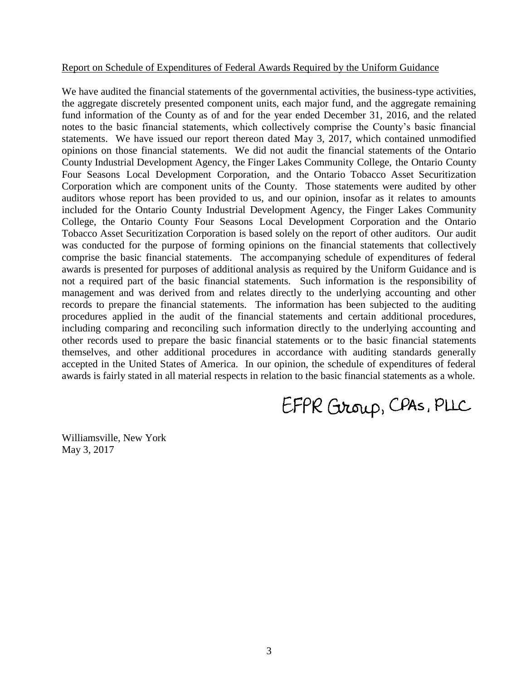#### Report on Schedule of Expenditures of Federal Awards Required by the Uniform Guidance

We have audited the financial statements of the governmental activities, the business-type activities, the aggregate discretely presented component units, each major fund, and the aggregate remaining fund information of the County as of and for the year ended December 31, 2016, and the related notes to the basic financial statements, which collectively comprise the County's basic financial statements. We have issued our report thereon dated May 3, 2017, which contained unmodified opinions on those financial statements. We did not audit the financial statements of the Ontario County Industrial Development Agency, the Finger Lakes Community College, the Ontario County Four Seasons Local Development Corporation, and the Ontario Tobacco Asset Securitization Corporation which are component units of the County. Those statements were audited by other auditors whose report has been provided to us, and our opinion, insofar as it relates to amounts included for the Ontario County Industrial Development Agency, the Finger Lakes Community College, the Ontario County Four Seasons Local Development Corporation and the Ontario Tobacco Asset Securitization Corporation is based solely on the report of other auditors. Our audit was conducted for the purpose of forming opinions on the financial statements that collectively comprise the basic financial statements. The accompanying schedule of expenditures of federal awards is presented for purposes of additional analysis as required by the Uniform Guidance and is not a required part of the basic financial statements. Such information is the responsibility of management and was derived from and relates directly to the underlying accounting and other records to prepare the financial statements. The information has been subjected to the auditing procedures applied in the audit of the financial statements and certain additional procedures, including comparing and reconciling such information directly to the underlying accounting and other records used to prepare the basic financial statements or to the basic financial statements themselves, and other additional procedures in accordance with auditing standards generally accepted in the United States of America. In our opinion, the schedule of expenditures of federal awards is fairly stated in all material respects in relation to the basic financial statements as a whole.

# EFPR Group, CPAS, PLLC

Williamsville, New York May 3, 2017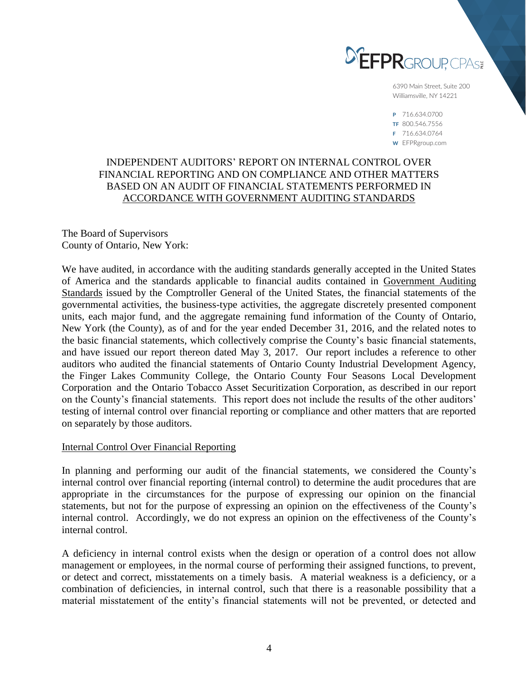

6390 Main Street, Suite 200 Williamsville, NY 14221

P 716.634.0700 TF 800.546.7556 F 716.634.0764 W EFPRgroup.com

### INDEPENDENT AUDITORS' REPORT ON INTERNAL CONTROL OVER FINANCIAL REPORTING AND ON COMPLIANCE AND OTHER MATTERS BASED ON AN AUDIT OF FINANCIAL STATEMENTS PERFORMED IN ACCORDANCE WITH GOVERNMENT AUDITING STANDARDS

The Board of Supervisors County of Ontario, New York:

We have audited, in accordance with the auditing standards generally accepted in the United States of America and the standards applicable to financial audits contained in Government Auditing Standards issued by the Comptroller General of the United States, the financial statements of the governmental activities, the business-type activities, the aggregate discretely presented component units, each major fund, and the aggregate remaining fund information of the County of Ontario, New York (the County), as of and for the year ended December 31, 2016, and the related notes to the basic financial statements, which collectively comprise the County's basic financial statements, and have issued our report thereon dated May 3, 2017. Our report includes a reference to other auditors who audited the financial statements of Ontario County Industrial Development Agency, the Finger Lakes Community College, the Ontario County Four Seasons Local Development Corporation and the Ontario Tobacco Asset Securitization Corporation, as described in our report on the County's financial statements. This report does not include the results of the other auditors' testing of internal control over financial reporting or compliance and other matters that are reported on separately by those auditors.

#### Internal Control Over Financial Reporting

In planning and performing our audit of the financial statements, we considered the County's internal control over financial reporting (internal control) to determine the audit procedures that are appropriate in the circumstances for the purpose of expressing our opinion on the financial statements, but not for the purpose of expressing an opinion on the effectiveness of the County's internal control. Accordingly, we do not express an opinion on the effectiveness of the County's internal control.

A deficiency in internal control exists when the design or operation of a control does not allow management or employees, in the normal course of performing their assigned functions, to prevent, or detect and correct, misstatements on a timely basis. A material weakness is a deficiency, or a combination of deficiencies, in internal control, such that there is a reasonable possibility that a material misstatement of the entity's financial statements will not be prevented, or detected and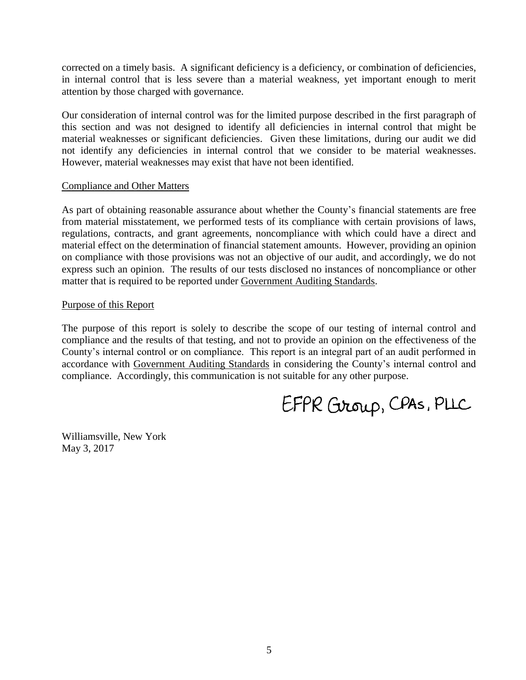corrected on a timely basis. A significant deficiency is a deficiency, or combination of deficiencies, in internal control that is less severe than a material weakness, yet important enough to merit attention by those charged with governance.

Our consideration of internal control was for the limited purpose described in the first paragraph of this section and was not designed to identify all deficiencies in internal control that might be material weaknesses or significant deficiencies. Given these limitations, during our audit we did not identify any deficiencies in internal control that we consider to be material weaknesses. However, material weaknesses may exist that have not been identified.

#### Compliance and Other Matters

As part of obtaining reasonable assurance about whether the County's financial statements are free from material misstatement, we performed tests of its compliance with certain provisions of laws, regulations, contracts, and grant agreements, noncompliance with which could have a direct and material effect on the determination of financial statement amounts. However, providing an opinion on compliance with those provisions was not an objective of our audit, and accordingly, we do not express such an opinion. The results of our tests disclosed no instances of noncompliance or other matter that is required to be reported under Government Auditing Standards.

#### Purpose of this Report

The purpose of this report is solely to describe the scope of our testing of internal control and compliance and the results of that testing, and not to provide an opinion on the effectiveness of the County's internal control or on compliance. This report is an integral part of an audit performed in accordance with Government Auditing Standards in considering the County's internal control and compliance. Accordingly, this communication is not suitable for any other purpose.

EFPR Group, CPAS, PLLC

Williamsville, New York May 3, 2017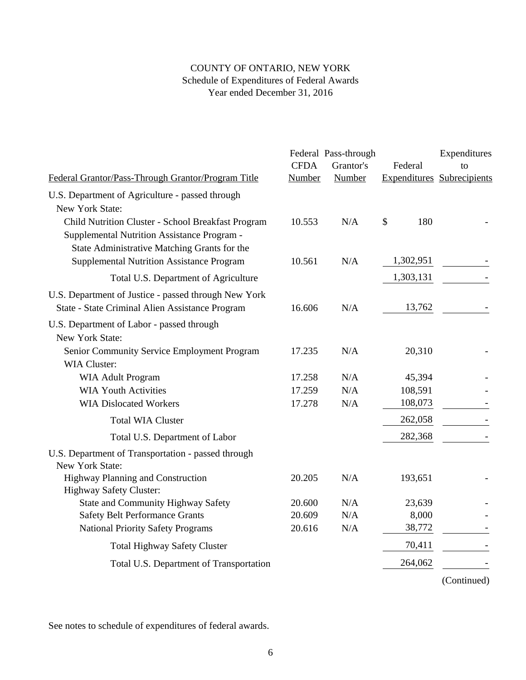### COUNTY OF ONTARIO, NEW YORK Schedule of Expenditures of Federal Awards Year ended December 31, 2016

|                                                                       |                       | Federal Pass-through |           | Expenditures                            |
|-----------------------------------------------------------------------|-----------------------|----------------------|-----------|-----------------------------------------|
| Federal Grantor/Pass-Through Grantor/Program Title                    | <b>CFDA</b><br>Number | Grantor's<br>Number  | Federal   | tο<br><b>Expenditures</b> Subrecipients |
|                                                                       |                       |                      |           |                                         |
| U.S. Department of Agriculture - passed through<br>New York State:    |                       |                      |           |                                         |
| Child Nutrition Cluster - School Breakfast Program                    | 10.553                | N/A                  | \$<br>180 |                                         |
| Supplemental Nutrition Assistance Program -                           |                       |                      |           |                                         |
| State Administrative Matching Grants for the                          |                       |                      |           |                                         |
| <b>Supplemental Nutrition Assistance Program</b>                      | 10.561                | N/A                  | 1,302,951 |                                         |
| Total U.S. Department of Agriculture                                  |                       |                      | 1,303,131 |                                         |
| U.S. Department of Justice - passed through New York                  |                       |                      |           |                                         |
| State - State Criminal Alien Assistance Program                       | 16.606                | N/A                  | 13,762    |                                         |
| U.S. Department of Labor - passed through                             |                       |                      |           |                                         |
| New York State:                                                       |                       |                      |           |                                         |
| Senior Community Service Employment Program                           | 17.235                | N/A                  | 20,310    |                                         |
| <b>WIA Cluster:</b>                                                   |                       |                      |           |                                         |
| <b>WIA Adult Program</b>                                              | 17.258                | N/A                  | 45,394    |                                         |
| <b>WIA Youth Activities</b>                                           | 17.259                | N/A                  | 108,591   |                                         |
| <b>WIA Dislocated Workers</b>                                         | 17.278                | N/A                  | 108,073   |                                         |
| <b>Total WIA Cluster</b>                                              |                       |                      | 262,058   |                                         |
| Total U.S. Department of Labor                                        |                       |                      | 282,368   |                                         |
| U.S. Department of Transportation - passed through<br>New York State: |                       |                      |           |                                         |
| <b>Highway Planning and Construction</b>                              | 20.205                | N/A                  | 193,651   |                                         |
| <b>Highway Safety Cluster:</b>                                        |                       |                      |           |                                         |
| <b>State and Community Highway Safety</b>                             | 20.600                | N/A                  | 23,639    |                                         |
| <b>Safety Belt Performance Grants</b>                                 | 20.609                | N/A                  | 8,000     |                                         |
| <b>National Priority Safety Programs</b>                              | 20.616                | N/A                  | 38,772    |                                         |
| <b>Total Highway Safety Cluster</b>                                   |                       |                      | 70,411    |                                         |
| Total U.S. Department of Transportation                               |                       |                      | 264,062   |                                         |
|                                                                       |                       |                      |           | (Continued)                             |

See notes to schedule of expenditures of federal awards.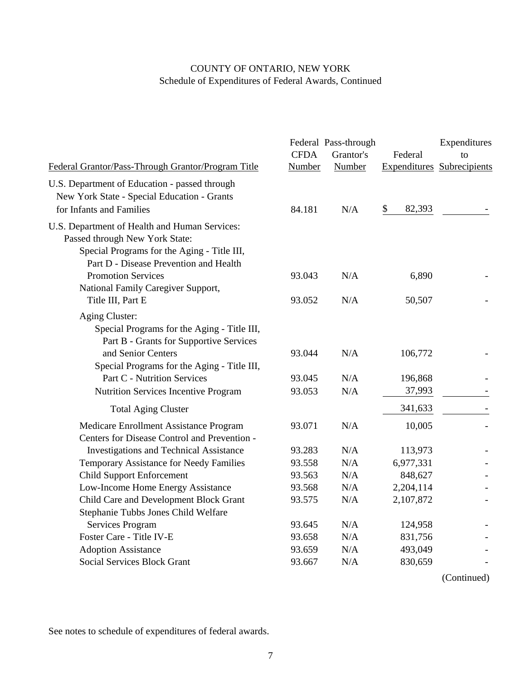### COUNTY OF ONTARIO, NEW YORK Schedule of Expenditures of Federal Awards, Continued

|                                                    |             | Federal Pass-through |              | Expenditures                      |
|----------------------------------------------------|-------------|----------------------|--------------|-----------------------------------|
|                                                    | <b>CFDA</b> | Grantor's            | Federal      | tο                                |
| Federal Grantor/Pass-Through Grantor/Program Title | Number      | Number               |              | <b>Expenditures</b> Subrecipients |
| U.S. Department of Education - passed through      |             |                      |              |                                   |
| New York State - Special Education - Grants        |             |                      |              |                                   |
| for Infants and Families                           | 84.181      | N/A                  | 82,393<br>\$ |                                   |
| U.S. Department of Health and Human Services:      |             |                      |              |                                   |
| Passed through New York State:                     |             |                      |              |                                   |
| Special Programs for the Aging - Title III,        |             |                      |              |                                   |
| Part D - Disease Prevention and Health             |             |                      |              |                                   |
| <b>Promotion Services</b>                          | 93.043      | N/A                  | 6,890        |                                   |
| National Family Caregiver Support,                 |             |                      |              |                                   |
| Title III, Part E                                  | 93.052      | N/A                  | 50,507       |                                   |
| Aging Cluster:                                     |             |                      |              |                                   |
| Special Programs for the Aging - Title III,        |             |                      |              |                                   |
| Part B - Grants for Supportive Services            |             |                      |              |                                   |
| and Senior Centers                                 | 93.044      | N/A                  | 106,772      |                                   |
| Special Programs for the Aging - Title III,        |             |                      |              |                                   |
| <b>Part C - Nutrition Services</b>                 | 93.045      | N/A                  | 196,868      |                                   |
| Nutrition Services Incentive Program               | 93.053      | N/A                  | 37,993       |                                   |
| <b>Total Aging Cluster</b>                         |             |                      | 341,633      |                                   |
| Medicare Enrollment Assistance Program             | 93.071      | N/A                  | 10,005       |                                   |
| Centers for Disease Control and Prevention -       |             |                      |              |                                   |
| <b>Investigations and Technical Assistance</b>     | 93.283      | N/A                  | 113,973      |                                   |
| Temporary Assistance for Needy Families            | 93.558      | N/A                  | 6,977,331    |                                   |
| <b>Child Support Enforcement</b>                   | 93.563      | N/A                  | 848,627      |                                   |
| Low-Income Home Energy Assistance                  | 93.568      | N/A                  | 2,204,114    |                                   |
| Child Care and Development Block Grant             | 93.575      | N/A                  | 2,107,872    |                                   |
| Stephanie Tubbs Jones Child Welfare                |             |                      |              |                                   |
| Services Program                                   | 93.645      | N/A                  | 124,958      |                                   |
| Foster Care - Title IV-E                           | 93.658      | N/A                  | 831,756      |                                   |
| <b>Adoption Assistance</b>                         | 93.659      | N/A                  | 493,049      |                                   |
| <b>Social Services Block Grant</b>                 | 93.667      | N/A                  | 830,659      |                                   |
|                                                    |             |                      |              |                                   |

(Continued)

See notes to schedule of expenditures of federal awards.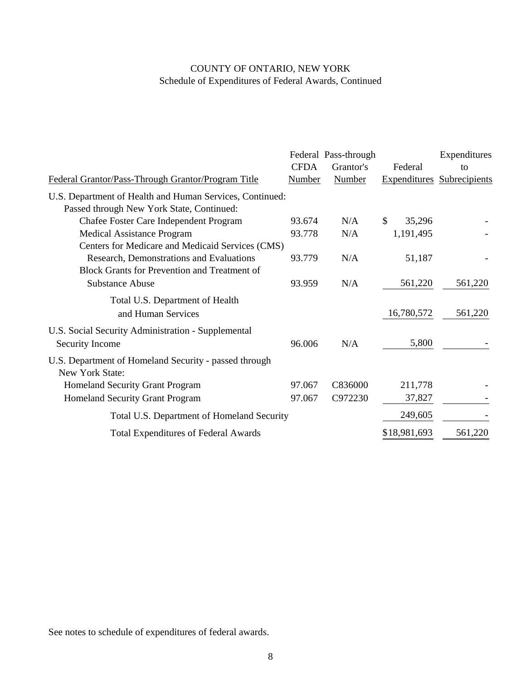### COUNTY OF ONTARIO, NEW YORK Schedule of Expenditures of Federal Awards, Continued

|                                                          |               | Federal Pass-through |              | Expenditures                      |
|----------------------------------------------------------|---------------|----------------------|--------------|-----------------------------------|
|                                                          | <b>CFDA</b>   | Grantor's            | Federal      | to                                |
| Federal Grantor/Pass-Through Grantor/Program Title       | <b>Number</b> | <b>Number</b>        |              | <b>Expenditures</b> Subrecipients |
| U.S. Department of Health and Human Services, Continued: |               |                      |              |                                   |
| Passed through New York State, Continued:                |               |                      |              |                                   |
| Chafee Foster Care Independent Program                   | 93.674        | N/A                  | \$<br>35,296 |                                   |
| <b>Medical Assistance Program</b>                        | 93.778        | N/A                  | 1,191,495    |                                   |
| Centers for Medicare and Medicaid Services (CMS)         |               |                      |              |                                   |
| Research, Demonstrations and Evaluations                 | 93.779        | N/A                  | 51,187       |                                   |
| <b>Block Grants for Prevention and Treatment of</b>      |               |                      |              |                                   |
| <b>Substance Abuse</b>                                   | 93.959        | N/A                  | 561,220      | 561,220                           |
| Total U.S. Department of Health                          |               |                      |              |                                   |
| and Human Services                                       |               |                      | 16,780,572   | 561,220                           |
| U.S. Social Security Administration - Supplemental       |               |                      |              |                                   |
| <b>Security Income</b>                                   | 96.006        | N/A                  | 5,800        |                                   |
| U.S. Department of Homeland Security - passed through    |               |                      |              |                                   |
| New York State:                                          |               |                      |              |                                   |
| <b>Homeland Security Grant Program</b>                   | 97.067        | C836000              | 211,778      |                                   |
| <b>Homeland Security Grant Program</b>                   | 97.067        | C972230              | 37,827       |                                   |
| Total U.S. Department of Homeland Security               |               |                      | 249,605      |                                   |
| <b>Total Expenditures of Federal Awards</b>              |               |                      | \$18,981,693 | 561,220                           |

See notes to schedule of expenditures of federal awards.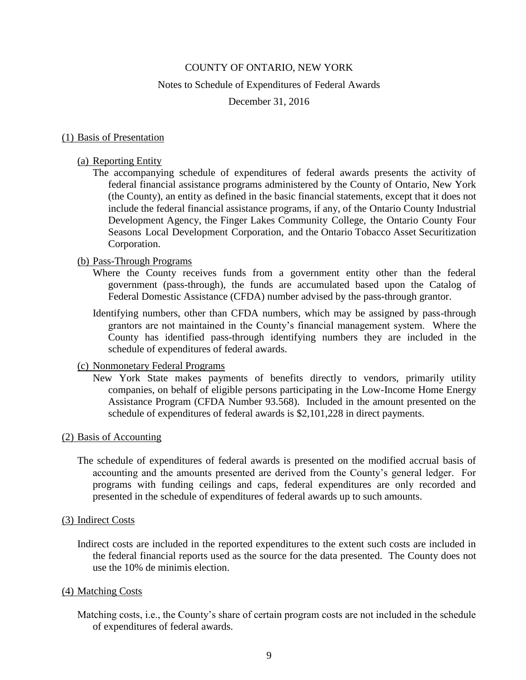#### Notes to Schedule of Expenditures of Federal Awards

December 31, 2016

#### (1) Basis of Presentation

#### (a) Reporting Entity

The accompanying schedule of expenditures of federal awards presents the activity of federal financial assistance programs administered by the County of Ontario, New York (the County), an entity as defined in the basic financial statements, except that it does not include the federal financial assistance programs, if any, of the Ontario County Industrial Development Agency, the Finger Lakes Community College, the Ontario County Four Seasons Local Development Corporation, and the Ontario Tobacco Asset Securitization Corporation.

#### (b) Pass-Through Programs

- Where the County receives funds from a government entity other than the federal government (pass-through), the funds are accumulated based upon the Catalog of Federal Domestic Assistance (CFDA) number advised by the pass-through grantor.
- Identifying numbers, other than CFDA numbers, which may be assigned by pass-through grantors are not maintained in the County's financial management system. Where the County has identified pass-through identifying numbers they are included in the schedule of expenditures of federal awards.

#### (c) Nonmonetary Federal Programs

New York State makes payments of benefits directly to vendors, primarily utility companies, on behalf of eligible persons participating in the Low-Income Home Energy Assistance Program (CFDA Number 93.568). Included in the amount presented on the schedule of expenditures of federal awards is \$2,101,228 in direct payments.

#### (2) Basis of Accounting

The schedule of expenditures of federal awards is presented on the modified accrual basis of accounting and the amounts presented are derived from the County's general ledger. For programs with funding ceilings and caps, federal expenditures are only recorded and presented in the schedule of expenditures of federal awards up to such amounts.

#### (3) Indirect Costs

Indirect costs are included in the reported expenditures to the extent such costs are included in the federal financial reports used as the source for the data presented. The County does not use the 10% de minimis election.

#### (4) Matching Costs

Matching costs, i.e., the County's share of certain program costs are not included in the schedule of expenditures of federal awards.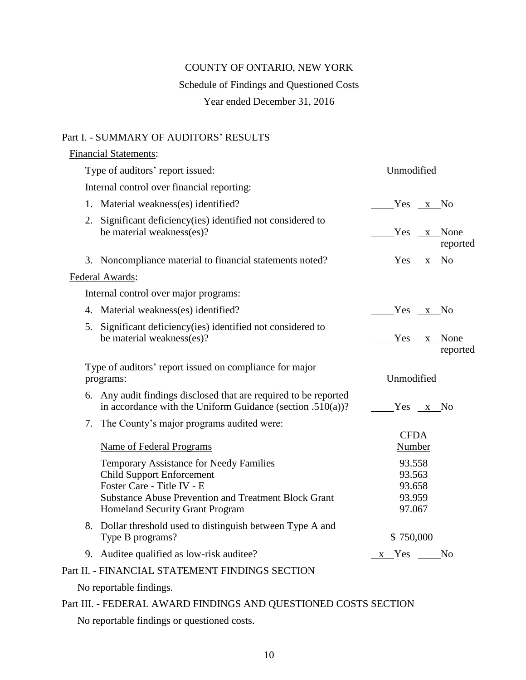# Schedule of Findings and Questioned Costs

Year ended December 31, 2016

### Part I. - SUMMARY OF AUDITORS' RESULTS

| <b>Financial Statements:</b>                                                                                                                                                                                       |                                                |
|--------------------------------------------------------------------------------------------------------------------------------------------------------------------------------------------------------------------|------------------------------------------------|
| Type of auditors' report issued:                                                                                                                                                                                   | Unmodified                                     |
| Internal control over financial reporting:                                                                                                                                                                         |                                                |
| 1. Material weakness(es) identified?                                                                                                                                                                               | $Yes \quad x \quad No$                         |
| Significant deficiency (ies) identified not considered to<br>2.<br>be material weakness(es)?                                                                                                                       | Yes<br>x None<br>reported                      |
| 3. Noncompliance material to financial statements noted?                                                                                                                                                           | Yes x No                                       |
| Federal Awards:                                                                                                                                                                                                    |                                                |
| Internal control over major programs:                                                                                                                                                                              |                                                |
| 4. Material weakness(es) identified?                                                                                                                                                                               | Yes x No                                       |
| Significant deficiency (ies) identified not considered to<br>5.<br>be material weakness(es)?                                                                                                                       | x None<br>Yes<br>reported                      |
| Type of auditors' report issued on compliance for major<br>programs:                                                                                                                                               | Unmodified                                     |
| 6. Any audit findings disclosed that are required to be reported<br>in accordance with the Uniform Guidance (section .510(a))?                                                                                     | Yes x No                                       |
| 7. The County's major programs audited were:                                                                                                                                                                       |                                                |
| <b>Name of Federal Programs</b>                                                                                                                                                                                    | <b>CFDA</b><br>Number                          |
| Temporary Assistance for Needy Families<br><b>Child Support Enforcement</b><br>Foster Care - Title IV - E<br><b>Substance Abuse Prevention and Treatment Block Grant</b><br><b>Homeland Security Grant Program</b> | 93.558<br>93.563<br>93.658<br>93.959<br>97.067 |
| 8. Dollar threshold used to distinguish between Type A and<br>Type B programs?                                                                                                                                     | \$750,000                                      |
| 9. Auditee qualified as low-risk auditee?                                                                                                                                                                          | x Yes<br>No                                    |
| Part II. - FINANCIAL STATEMENT FINDINGS SECTION                                                                                                                                                                    |                                                |
| No reportable findings.                                                                                                                                                                                            |                                                |
|                                                                                                                                                                                                                    |                                                |

### Part III. - FEDERAL AWARD FINDINGS AND QUESTIONED COSTS SECTION

No reportable findings or questioned costs.